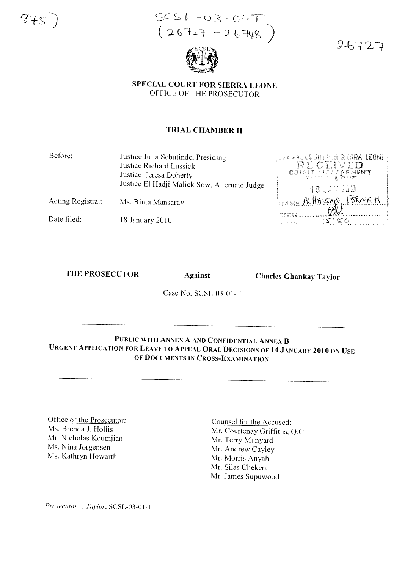$875$ 

 $SCS L - O3 - O[-T]$ <br>(26727 - 26748)



# **SPECIAL COURT FOR SIERRA LEONE** OFFICE OF THE PROSECUTOR

# **TRIAL CHAMBER II**

| Before: | Justice Julia Sebutinde, Presiding           |
|---------|----------------------------------------------|
|         | Justice Richard Lussick                      |
|         | Justice Teresa Doherty                       |
|         | Justice El Hadji Malick Sow, Alternate Judge |
|         |                                              |

Ms. Binta Mansaray Acting Registrar:

Date filed: 18 January 2010

OPEDIAL UDON'T FOR SIERRA LEONE DOURT MARENENT 18 323 2310 NAME ALITASSANO, FORNA  $550$ 

 $26727$ 

### **THE PROSECUTOR**

**Against** 

**Charles Ghankay Taylor** 

Case No. SCSL-03-01-T

# PUBLIC WITH ANNEX A AND CONFIDENTIAL ANNEX B **URGENT APPLICATION FOR LEAVE TO APPEAL ORAL DECISIONS OF 14 JANUARY 2010 ON USE** OF DOCUMENTS IN CROSS-EXAMINATION

Office of the Prosecutor: Ms. Brenda J. Hollis Mr. Nicholas Koumjian Ms. Nina Jørgensen Ms. Kathryn Howarth

Counsel for the Accused: Mr. Courtenay Griffiths, Q.C. Mr. Terry Munyard Mr. Andrew Cayley Mr. Morris Anyah Mr. Silas Chekera Mr. James Supuwood

Prosecutor v. Taylor, SCSL-03-01-T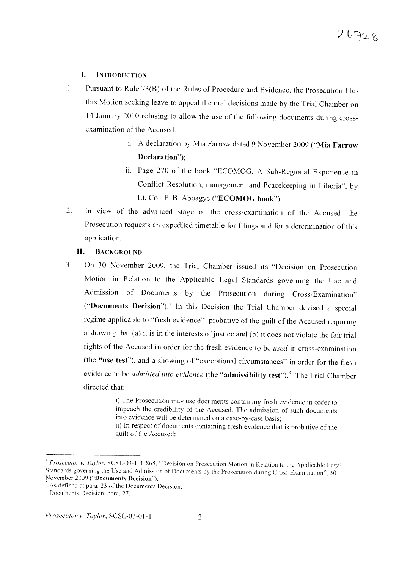#### **I.** INTRODUCTION

- 1. Pursuant to Rule 73(B) of the Rules of Procedure and Evidence, the Prosecution files this Motion seeking leave to appeal the oral decisions made by the Trial Chamber on 14 January 2010 refusing to allow the use of the following documents during crossexamination of the Accused:
	- i. A declaration by Mia Farrow dated 9 November 2009 ("Mia Farrow Declaration");
	- ii. Page 270 of the book "ECOMOG, A Sub-Regional Experience in Conflict Resolution, management and Peacekeeping in Liberia", by Lt. Col. F. B. Aboagye ("ECOMOG book").
- 2. In view of the advanced stage of the cross-examination of the Accused, the Prosecution requests an expedited timetable for filings and for a determination of this application.

### **II.** BACKGROUND

3. On 30 November 2009, the Trial Chamber issued its "Decision on Prosecution Motion in Relation to the Applicable Legal Standards governing the Use and Admission of Documents by the Prosecution during Cross-Examination" ("Documents Decision").<sup>1</sup> In this Decision the Trial Chamber devised a special regime applicable to "fresh evidence"<sup>2</sup> probative of the guilt of the Accused requiring a showing that (a) it is in the interests of justice and (b) it does not violate the fair trial rights of the Accused in order for the fresh evidence to be *used* in cross-examination (the "use test"), and a showing of "exceptional circumstances" in order for the fresh evidence to be *admitted into evidence* (the "admissibility test").<sup>3</sup> The Trial Chamber directed that:

> i) The Prosecution may use documents containing fresh evidence in order to impeach the credibility of the Accused. The admission of such documents into evidence will be determined on a case-by-case basis; ii) In respect of documents containing fresh evidence that is probative of the guilt of the Accused:

<sup>&</sup>lt;sup>1</sup> *Prosecutor v. Taylor*, SCSL-03-1-T-865, "Decision on Prosecution Motion in Relation to the Applicable Legal Standards governing the Use and Admission of Documents by the Prosecution during Cross-Examination",  $30$ November 2009 ("Documents Decision").

 $2^{2}$  As defined at para. 23 of the Documents Decision.

 $3$  Documents Decision, para. 27.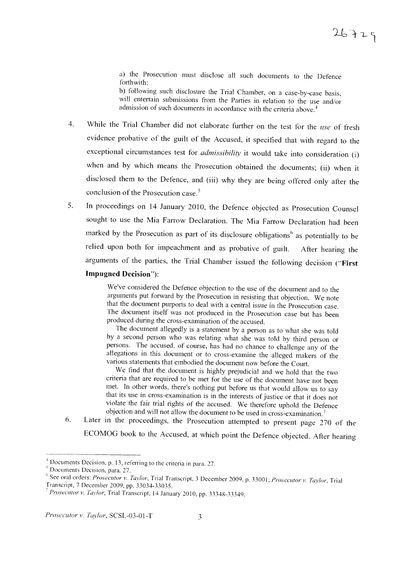a) the Prosecution must disclose all such documents to the Defence forthwith:

b) following such disclosure the Trial Chamber, on a case-by-case basis, will entertain submissions from the Parties in relation to the use and/or admission of such documents in accordance with the criteria above.'

- 4. While the Trial Chamber did not elaborate further on the test for the use of fresh evidence probative of the guilt of the Accused, it specified that with regard to the exceptional circumstances test for *admissibility* it would take into consideration (i) when and by which means the Prosecution obtained the documents; (ii) when it disclosed them to the Defence, and (iii) why they are being offered only after the conclusion of the Prosecution case.<sup>5</sup>
- 5. In proceedings on 14 January 2010, the Defence objected as Prosecution Counsel sought to use the Mia Farrow Declaration. The Mia Farrow Declaration had been marked by the Prosecution as part of its disclosure obligations<sup>6</sup> as potentially to be relied upon both for impeachment and as probative of guilt. After hearing the arguments of the parties, the Trial Chamber issued the following decision ("First

# **Impugned** Decision"):

We've considered the Defence objection to the use of the document and to the arguments put forward by the Prosecution in resisting that objection. We note that the document purports to deal with a central issue in the Prosecution case. The document itself was not produced in the Prosecution case but has been produced during the cross-examination of the accused.

The document allegedly is a statement by a person as to what she was told by a second person who was relating what she was told by third person or persons. The accused, of course, has had no chance to challenge any of the allegations in this document or to cross-examine the alleged makers of the various statements that embodied the document now before the Court.

We find that the document is highly prejudicial and we hold that the two criteria that are required to be met for the use of the document have not been met. In other words, there's nothing put before us that would allow us to say that its use in cross-examination is in the interests of justice or that it does not violate the fair trial rights of the accused. We therefore uphold the Defence objection and will not allow the document to be used in cross-examination.'

6. Later in the proceedings, the Prosecution attempted to present page 270 of the ECOMOG book to the Accused, at which point the Defence objected. After hearing

 $<sup>4</sup>$  Documents Decision, p. 13, referring to the criteria in para. 27.</sup>

 $<sup>5</sup>$  Documents Decision, para. 27.</sup>

<sup>&</sup>lt;sup>6</sup> See oral orders: *Prosecutor v. Taylor*, Trial Transcript, 3 December 2009, p. 33001; *Prosecutor v. Taylor*, Trial Transcript, 7 December 2009, pp. 33034-33035 .

<sup>7</sup> *Prosecutor v. Tavlor,* Trial Transcript, 14 January 2010, pp. 33348-3334 9.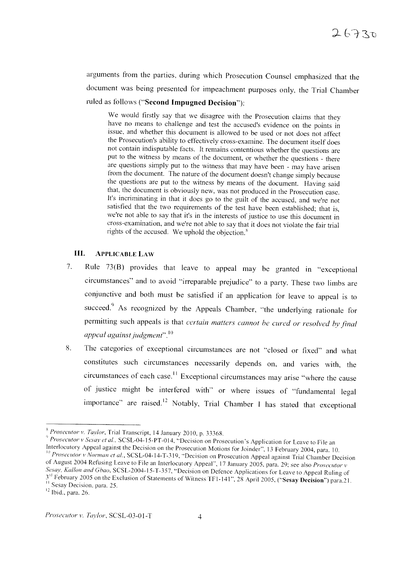arguments from the parties, during which Prosecution Counsel emphasized that the document was being presented for impeachment purposes only, the Trial Chamber ruled as follows ("Second Impugned Decision"):

We would firstly say that we disagree with the Prosecution claims that they have no means to challenge and test the accused's evidence on the points in issue, and whether this document is allowed to be used or not does not affect the Prosecution's ability to effectively cross-examine. The document itself does not contain indisputable facts. It remains contentious whether the questions are put to the witness by means of the document, or whether the questions - there are questions simply put to the witness that may have been - may have arisen from the document. The nature of the document doesn't change simply because the questions are put to the witness by means of the document. Having said that, the document is obviously new, was not produced in the Prosecution case. It's incriminating in that it does go to the guilt of the accused, and we're not satisfied that the two requirements of the test have been established; that is, we're not able to say that it's in the interests of justice to use this document in cross-examination, and we're not able to say that it does not violate the fair trial rights of the accused. We uphold the objection.<sup>8</sup>

#### Ш. **APPLICABLE LAW**

- Rule 73(B) provides that leave to appeal may be granted in "exceptional 7. circumstances" and to avoid "irreparable prejudice" to a party. These two limbs are conjunctive and both must be satisfied if an application for leave to appeal is to succeed.<sup>9</sup> As recognized by the Appeals Chamber, "the underlying rationale for permitting such appeals is that certain matters cannot be cured or resolved by final appeal against judgment",  $^{10}$
- The categories of exceptional circumstances are not "closed or fixed" and what 8. constitutes such circumstances necessarily depends on, and varies with, the circumstances of each case.<sup>11</sup> Exceptional circumstances may arise "where the cause of justice might be interfered with" or where issues of "fundamental legal importance" are raised.<sup>12</sup> Notably, Trial Chamber I has stated that exceptional

<sup>&</sup>lt;sup>8</sup> Prosecutor v. Taylor, Trial Transcript, 14 January 2010, p. 33368.

Prosecutor v Sesay et al., SCSL-04-15-PT-014, "Decision on Prosecution's Application for Leave to File an Interlocutory Appeal against the Decision on the Prosecution Motions for Joinder", 13 February 2004, para. 10. Prosecutor v Norman et al., SCSL-04-14-T-319, "Decision on Prosecution Appeal against Trial Chamber Decision of August 2004 Refusing Leave to File an Interlocutory Appeal", 17 January 2005, para. 29; see also Prosecutor v Sesay, Kallon and Gbao, SCSL-2004-15-T-357, "Decision on Defence Applications for Leave to Appeal Ruling of 3rd February 2005 on the Exclusion of Statements of Witness TF1-141", 28 April 2005, ("Sesay Decision") para.21.

<sup>&</sup>lt;sup>11</sup> Sesay Decision, para. 25.

 $12$  Ibid., para. 26.